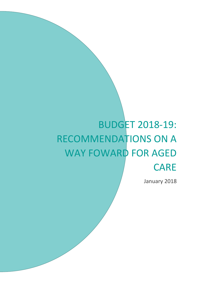# BUDGET 2018-19: RECOMMENDATIONS ON A WAY FOWARD FOR AGED CARE

January 2018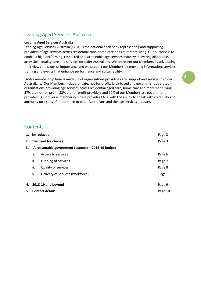# Leading Aged Services Australia

#### **Leading Aged Services Australia**

Leading Age Services Australia (LASA) is the national peak body representing and supporting providers of age services across residential care, home care and retirement living. Our purpose is to enable a high performing, respected and sustainable age services industry delivering affordable, accessible, quality care and services for older Australians. We represent our Members by advocating their views on issues of importance and we support our Members by providing information, services, training and events that enhance performance and sustainability.

LASA's membership base is made up of organisations providing care, support and services to older Australians. Our Members include private, not-for-profit, faith-based and government operated organisations providing age services across residential aged care, home care and retirement living. 57% are not-for-profit, 33% are for-profit providers and 10% of our Members are government providers. Our diverse membership base provides LASA with the ability to speak with credibility and authority on issues of importance to older Australians and the age services industry.

### **Contents**

| 1. | <b>Introduction</b>                               |                                  | Page 3  |
|----|---------------------------------------------------|----------------------------------|---------|
|    | 2. The need for change                            |                                  | Page 3  |
| 3. | A reasonable government response - 2018-19 Budget |                                  |         |
|    | i.                                                | Access to services               | Page 6  |
|    | ii.                                               | Funding of services              | Page 7  |
|    | iii.                                              | <b>Quality of services</b>       | Page 8  |
|    | iv.                                               | Delivery of services (workforce) | Page 8  |
|    |                                                   |                                  |         |
|    | 4. 2018-19 and beyond                             |                                  | Page 9  |
| 5. | <b>Contact details</b>                            |                                  | Page 10 |
|    |                                                   |                                  |         |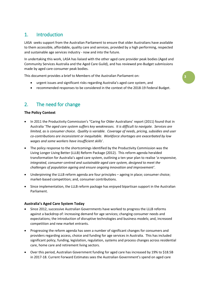## 1. Introduction

LASA seeks support from the Australian Parliament to ensure that older Australians have available to them accessible, affordable, quality care and services, provided by a high performing, respected and sustainable age services industry - now and into the future.

In undertaking this work, LASA has liaised with the other aged care provider peak bodies (Aged and Community Services Australia and the Aged Care Guild), and has reviewed pre-Budget submissions made by aged care consumer peak bodies.

This document provides a brief to Members of the Australian Parliament on:

- urgent issues and significant risks regarding Australia's aged care system, and
- recommended responses to be considered in the context of the 2018-19 Federal Budget.

**3**

## 2. The need for change

#### **The Policy Context**

- In 2011 the Productivity Commission's "Caring for Older Australians' report (2011) found that in Australia '*The aged care system suffers key weaknesses. It is difficult to navigate. Services are limited, as is consumer choice. Quality is variable. Coverage of needs, pricing, subsidies and user co-contributions are inconsistent or inequitable. Workforce shortages are exacerbated by low wages and some workers have insufficient skills*'.
- The policy response to the shortcomings identified by the Productivity Commission was the Living Longer Living Better (LLLB) Reform Package (2012). This reform agenda heralded transformation for Australia's aged care system, outlining a ten year plan to realise '*a responsive, integrated, consumer-centred and sustainable aged care system, designed to meet the challenges of population ageing and ensure ongoing innovation and improvement'*.
- Underpinning the LLLB reform agenda are four principles ageing in place; consumer choice; market-based competition; and, consumer contributions.
- Since implementation, the LLLB reform package has enjoyed bipartisan support in the Australian Parliament.

#### **Australia's Aged Care System Today**

- Since 2012, successive Australian Governments have worked to progress the LLLB reforms against a backdrop of: increasing demand for age services; changing consumer needs and expectations; the introduction of disruptive technologies and business models; and, increased competition and new market entrants.
- Progressing the reform agenda has seen a number of significant changes for consumers and providers regarding access, choice and funding for age services in Australia. This has included significant policy, funding, legislation, regulation, systems and process changes across residential care, home care and retirement living sectors.
- Over this period, Australian Government funding for aged care has increased by 19% to \$18.5B in 2017-18. Current Forward Estimates sees the Australian Government's spend on aged care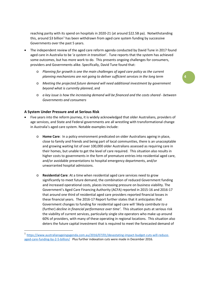reaching parity with its spend on hospitals in 2020-21 (at around \$22.5B pa). Notwithstanding this, around \$3 billion<sup>[1](#page-3-0)</sup> has been withdrawn from aged care system funding by successive Governments over the past 5 years.

- The independent review of the aged care reform agenda conducted by David Tune in 2017 found aged care in Australia to be '*a system in transition*'. Tune reports that the system has achieved some outcomes, but has more work to do. This presents ongoing challenges for consumers, providers and Governments alike. Specifically, David Tune found that:
	- o *Planning for growth is one the main challenges of aged care policy as the current planning mechanisms are not going to deliver sufficient services in the long term*
	- o *Meeting the projected future demand will need additional investment by government beyond what is currently planned*, and
	- o *a key issue is how the increasing demand will be financed and the costs shared - between Governments and consumers*

#### **A System Under Pressure and at Serious Risk**

**.** 

- Five years into the reform journey, it is widely acknowledged that older Australians, providers of age services, and State and Federal governments are all wrestling with transformational change in Australia's aged care system. Notable examples include:
	- o **Home Care**: In a policy environment predicated on older Australians ageing in place, close to family and friends and being part of local communities, there is an unacceptable and growing waiting list of over 100,000 older Australians assessed as requiring care in their homes, but unable to get the level of care required. This situation also results in higher costs to governments in the form of premature entries into residential aged care, and/or avoidable presentations to hospital emergency departments, and/or unwarranted hospital admissions.
	- o **Residential Care**: At a time when residential aged care services need to grow significantly to meet future demand, the combination of reduced Government funding and increased operational costs, places increasing pressure on business viability. The Government's Aged Care Financing Authority (ACFA) reported in 2015-16 and 2016-17 that around one third of residential aged care providers reported financial losses in these financial years. The 2016-17 Report further states that it anticipates that Government changes to funding for residential aged care will '*likely contribute to a* (further) *decline in financial performance over time'*. This situation puts at serious risk the viability of current services, particularly single site operators who make up around 60% of providers, with many of these operating in regional locations. This situation also deters the future capital investment that is required to meet the forecasted demand of

<span id="page-3-0"></span><sup>1</sup> [https://www.australianageingagenda.com.au/2016/07/01/devastating-impact-budget-cuts-will-reduce](https://www.australianageingagenda.com.au/2016/07/01/devastating-impact-budget-cuts-will-reduce-aged-care-funding-by-2-5-billion/)[aged-care-funding-by-2-5-billion/](https://www.australianageingagenda.com.au/2016/07/01/devastating-impact-budget-cuts-will-reduce-aged-care-funding-by-2-5-billion/) Plus further indexation cuts were made in December 2016.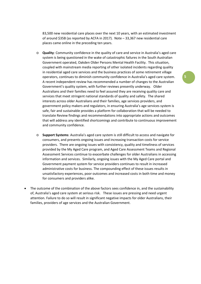83,500 new residential care places over the next 10 years, with an estimated investment of around \$35B (as reported by ACFA in 2017). Note – 33,367 new residential care places came online in the preceding ten years.

- o **Quality**: Community confidence in the quality of care and service in Australia's aged care system is being questioned in the wake of catastrophic failures in the South Australian Government operated, Oakden Older Persons Mental Health Facility. This situation, coupled with mainstream media reporting of other isolated incidents regarding quality in residential aged care services and the business practices of some retirement village operators, continues to diminish community confidence in Australia's aged care system. A recent independent review has recommended a number of changes to the Australian Government's quality system, with further reviews presently underway. Older Australians and their families need to feel assured they are receiving quality care and services that meet stringent national standards of quality and safety. The shared interests across older Australians and their families, age services providers, and government policy makers and regulators, in ensuring Australia's age services system is safe, fair and sustainable provides a platform for collaboration that will be needed to translate Review findings and recommendations into appropriate actions and outcomes that will address any identified shortcomings and contribute to continuous improvement and community confidence.
- o **Support Systems**: Australia's aged care system is still difficult to access and navigate for consumers, and presents ongoing issues and increasing transaction costs for service providers. There are ongoing issues with consistency, quality and timeliness of services provided by the My Aged Care program, and Aged Care Assessment Teams and Regional Assessment Services continue to exacerbate challenges for older Australians in accessing information and services. Similarly, ongoing issues with the My Aged Care portal and Government payment system for service providers continues to result in increased administrative costs for business. The compounding effect of these issues results in unsatisfactory experiences, poor outcomes and increased costs in both time and money for consumers and providers alike.
- The outcome of the combination of the above factors sees confidence in, and the sustainability of, Australia's aged care system at serious risk. These issues are pressing and need urgent attention. Failure to do so will result in significant negative impacts for older Australians, their families, providers of age services and the Australian Government.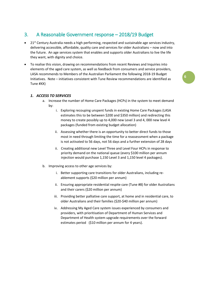## 3. A Reasonable Government response – 2018/19 Budget

- 21<sup>st</sup> Century Australia needs a high performing, respected and sustainable age services industry, delivering accessible, affordable, quality care and services for older Australians – now and into the future. An age services system that enables and supports older Australians to live the life they want, with dignity and choice.
- To realise this vision, drawing on recommendations from recent Reviews and Inquiries into elements of the aged care system, as well as feedback from consumers and service providers, LASA recommends to Members of the Australian Parliament the following 2018-19 Budget Initiatives. Note – initiatives consistent with Tune Review recommendations are identified as Tune #XX)

#### *1. ACCESS TO SERVICES*

- a. Increase the number of Home Care Packages (HCPs) in the system to meet demand by:
	- i. Exploring recouping unspent funds in existing Home Care Packages (LASA estimates this to be between \$200 and \$350 million) and redirecting this money to create possibly up to 4,000 new Level 3 and 4, 000 new level 4 packages (funded from existing budget allocation)
	- ii. Assessing whether there is an opportunity to better direct funds to those most in need through limiting the time for a reassessment when a package is not activated to 56 days, not 56 days and a further extension of 28 days
	- ii. Creating additional new Level Three and Level Four HCPs in response to priority demand on the national queue (every \$100 million per annum injection would purchase 1,150 Level 3 and 1,150 level 4 packages).
- b. Improving access to other age services by:
	- i. Better supporting care transitions for older Australians, including reablement supports (\$20 million per annum)
	- ii. Ensuring appropriate residential respite care (Tune #8) for older Australians and their carers (\$20 million per annum)
	- iii. Providing better palliative care support, at home and in residential care, to older Australians and their families (\$20-\$40 million per annum)
	- iv. Addressing My Aged Care system issues experienced by consumers and providers, with prioritisation of Department of Human Services and Department of Health system upgrade requirements over the forward estimates period (\$10 million per annum for 4 years).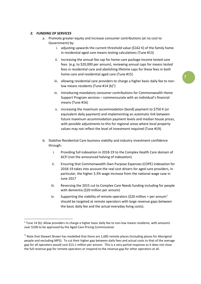#### *2. FUNDING OF SERVICES*

- a. Promote greater equity and increase consumer contributions (at no cost to Government) by:
	- i. adjusting upwards the current threshold value (\$162 K) of the family home in residential aged care means testing calculations (Tune #13)
	- ii. increasing the annual fee cap for home care package income tested care fees (e.g. to \$20,000 per annum), reviewing annual caps for means tested fees in residential care and abolishing lifetime caps for these fees in both home care and residential aged care (Tune #15)
	- iii. allowing residential care providers to charge a higher basic daily fee to nonlow means residents (Tune #14 (b)<sup>2</sup>)
	- iv. introducing mandatory consumer contributions for Commonwealth Home Support Program services – commensurate with an individual's financial means (Tune #16)
	- v. increasing the maximum accommodation (bond) payment to \$750 K (or equivalent daily payment) and implementing an automatic link between future maximum accommodation payment levels and median house prices, with possible adjustments to this for regional areas where local property values may not reflect the level of investment required (Tune #19).
- b. Stabilise Residential Care business viability and industry investment confidence through:
	- i. Providing full indexation in 2018-19 to the Complex Health Care domain of ACFI (not the announced halving of indexation)
	- ii. Ensuring that Commonwealth Own Purpose Expenses (COPE) indexation for 2018-19 takes into account the real cost drivers for aged care providers, in particular, the higher 3.3% wage increase from the national wage case in June 2017
	- iii. Reversing the 2015 cut to Complex Care Needs funding including for people with dementia (\$20 million per annum)
	- iv. Supporting the viability of remote operators (\$20 million + per annum<sup>[3](#page-6-1)</sup> should be targeted at remote operators with large revenue gaps between the basic daily fee and the actual everyday living costs).

<span id="page-6-0"></span> $2$  Tune 14 (b): Allow providers to charge a higher basic daily fee to non-low means residents, with amounts over \$100 to be approved by the Aged Care Pricing Commissioner

<span id="page-6-1"></span> $3$  Note that Stewart Brown has modelled that there are 1,685 remote places (including places for Aboriginal people and excluding MPS). To cut their higher gap between daily fees and actual costs to that of the average gap for all operators would cost \$13.1 million per annum. This is a very partial response as it does not close the full revenue gap for remote operators or respond to the revenue gap for other operators at all.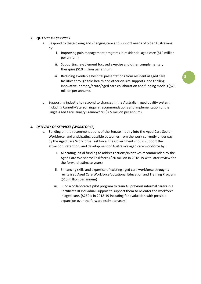#### *3. QUALITY OF SERVICES*

- a. Respond to the growing and changing care and support needs of older Australians by:
	- i. Improving pain management programs in residential aged care (\$10 million per annum)
	- ii. Supporting re-ablement focused exercise and other complementary therapies (\$10 million per annum)
	- iii. Reducing avoidable hospital presentations from residential aged care facilities through tele-health and other on-site supports, and trialling innovative, primary/acute/aged care collaboration and funding models (\$25 million per annum).
- b. Supporting industry to respond to changes in the Australian aged quality system, including Carnell-Paterson inquiry recommendations and implementation of the Single Aged Care Quality Framework (\$7.5 million per annum)

#### *4. DELIVERY OF SERVICES (WORKFORCE)*

- a. Building on the recommendations of the Senate Inquiry into the Aged Care Sector Workforce, and anticipating possible outcomes from the work currently underway by the Aged Care Workforce Taskforce, the Government should support the attraction, retention, and development of Australia's aged care workforce by:
	- i. Allocating initial funding to address actions/initiatives recommended by the Aged Care Workforce Taskforce (\$20 million in 2018-19 with later review for the forward estimate years)
	- ii. Enhancing skills and expertise of existing aged care workforce through a revitalised Aged Care Workforce Vocational Education and Training Program (\$10 million per annum)
	- iii. Fund a collaborative pilot program to train 40 previous informal carers in a Certificate III Individual Support to support them to re-enter the workforce in aged care. (\$250 K in 2018-19 including for evaluation with possible expansion over the forward estimate years).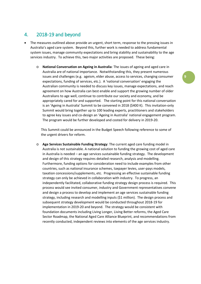## 4. 2018-19 and beyond

- The measures outlined above provide an urgent, short term, response to the pressing issues in Australia's aged care system. Beyond this, further work is needed to address fundamental system issues, manage community expectations and bring stability and sustainability to the age services industry. To achieve this, two major activities are proposed. These being:
	- o **National Conversation on Ageing in Australia**: The issues of ageing and aged care in Australia are of national importance. Notwithstanding this, they present numerous issues and challenges (e.g. ageism, elder abuse, access to services, changing consumer expectations, funding of services, etc.). A 'national conversation' engaging the Australian community is needed to discuss key issues, manage expectations, and reach agreement on how Australia can best enable and support the growing number of older Australians to age well, continue to contribute our society and economy, and be appropriately cared for and supported. The starting point for this national conversation is an 'Ageing in Australia' Summit to be convened in 2018 (\$400 K). This invitation-only Summit would bring together up to 100 leading experts, practitioners and stakeholders to agree key issues and co-design an 'Ageing in Australia' national engagement program. The program would be further developed and costed for delivery in 2019-20.

This Summit could be announced in the Budget Speech following reference to some of the urgent drivers for reform.

o **Age Services Sustainable Funding Strategy**: The current aged care funding model in Australia is not sustainable. A national solution to funding the growing cost of aged care in Australia is needed – an age services sustainable funding strategy. The development and design of this strategy requires detailed research, analysis and modelling. Furthermore, funding options for consideration need to include examples from other countries, such as national insurance schemes, taxpayer levies, user-pays models, taxation concessions/supplements, etc. Progressing an effective sustainable funding strategy can only be achieved in collaboration with industry. To progress, an independently facilitated, collaborative funding strategy design process is required. This process would see invited consumer, industry and Government representatives convene and design a process to develop and implement an age services sustainable funding strategy, including research and modelling inputs (\$1 million). The design process and subsequent strategy development would be conducted throughout 2018-19 for implementation in 2019-20 and beyond. The strategy would be consistent with foundation documents including Living Longer, Living Better reforms, the Aged Care Sector Roadmap, the National Aged Care Alliance Blueprint, and recommendations from recently conducted, independent reviews into elements of the age services industry.